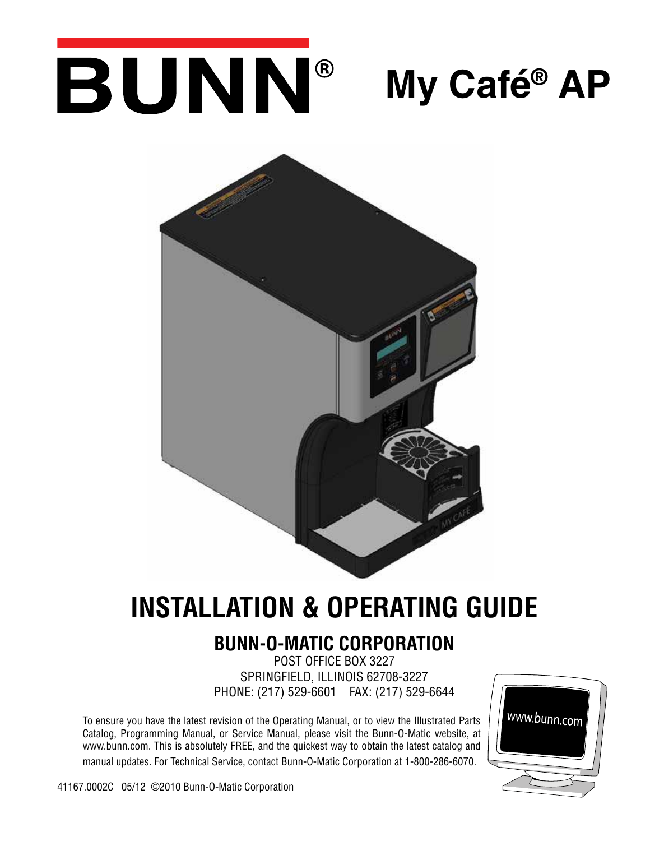# BUNN® **My Café® AP**



## **INSTALLATION & OPERATING GUIDE**

## **BUNN-O-MATIC CORPORATION**

POST OFFICE BOX 3227 SPRINGFIELD, ILLINOIS 62708-3227 PHONE: (217) 529-6601 FAX: (217) 529-6644

To ensure you have the latest revision of the Operating Manual, or to view the Illustrated Parts Catalog, Programming Manual, or Service Manual, please visit the Bunn-O-Matic website, at www.bunn.com. This is absolutely FREE, and the quickest way to obtain the latest catalog and manual updates. For Technical Service, contact Bunn-O-Matic Corporation at 1-800-286-6070.



41167.0002C 05/12 ©2010 Bunn-O-Matic Corporation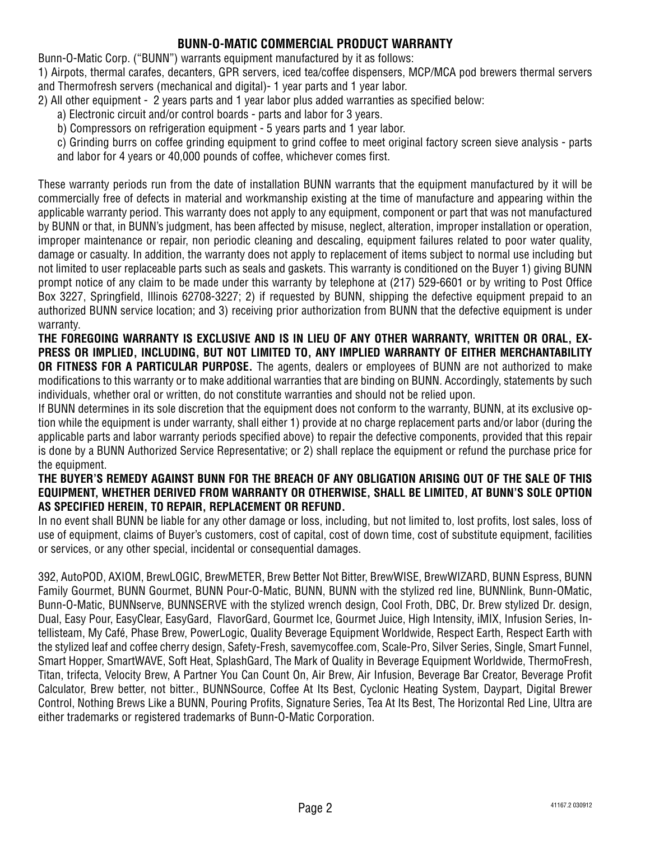#### **BUNN-O-MATIC COMMERCIAL PRODUCT WARRANTY**

Bunn-O-Matic Corp. ("BUNN") warrants equipment manufactured by it as follows:

1) Airpots, thermal carafes, decanters, GPR servers, iced tea/coffee dispensers, MCP/MCA pod brewers thermal servers and Thermofresh servers (mechanical and digital)- 1 year parts and 1 year labor.

- 2) All other equipment 2 years parts and 1 year labor plus added warranties as specified below:
	- a) Electronic circuit and/or control boards parts and labor for 3 years.
	- b) Compressors on refrigeration equipment 5 years parts and 1 year labor.
	- c) Grinding burrs on coffee grinding equipment to grind coffee to meet original factory screen sieve analysis parts and labor for 4 years or 40,000 pounds of coffee, whichever comes first.

These warranty periods run from the date of installation BUNN warrants that the equipment manufactured by it will be commercially free of defects in material and workmanship existing at the time of manufacture and appearing within the applicable warranty period. This warranty does not apply to any equipment, component or part that was not manufactured by BUNN or that, in BUNN's judgment, has been affected by misuse, neglect, alteration, improper installation or operation, improper maintenance or repair, non periodic cleaning and descaling, equipment failures related to poor water quality, damage or casualty. In addition, the warranty does not apply to replacement of items subject to normal use including but not limited to user replaceable parts such as seals and gaskets. This warranty is conditioned on the Buyer 1) giving BUNN prompt notice of any claim to be made under this warranty by telephone at (217) 529-6601 or by writing to Post Office Box 3227, Springfield, Illinois 62708-3227; 2) if requested by BUNN, shipping the defective equipment prepaid to an authorized BUNN service location; and 3) receiving prior authorization from BUNN that the defective equipment is under warranty.

**THE FOREGOING WARRANTY IS EXCLUSIVE AND IS IN LIEU OF ANY OTHER WARRANTY, WRITTEN OR ORAL, EX-PRESS OR IMPLIED, INCLUDING, BUT NOT LIMITED TO, ANY IMPLIED WARRANTY OF EITHER MERCHANTABILITY OR FITNESS FOR A PARTICULAR PURPOSE.** The agents, dealers or employees of BUNN are not authorized to make modifications to this warranty or to make additional warranties that are binding on BUNN. Accordingly, statements by such individuals, whether oral or written, do not constitute warranties and should not be relied upon.

If BUNN determines in its sole discretion that the equipment does not conform to the warranty, BUNN, at its exclusive option while the equipment is under warranty, shall either 1) provide at no charge replacement parts and/or labor (during the applicable parts and labor warranty periods specified above) to repair the defective components, provided that this repair is done by a BUNN Authorized Service Representative; or 2) shall replace the equipment or refund the purchase price for the equipment.

#### **THE BUYER'S REMEDY AGAINST BUNN FOR THE BREACH OF ANY OBLIGATION ARISING OUT OF THE SALE OF THIS EQUIPMENT, WHETHER DERIVED FROM WARRANTY OR OTHERWISE, SHALL BE LIMITED, AT BUNN'S SOLE OPTION AS SPECIFIED HEREIN, TO REPAIR, REPLACEMENT OR REFUND.**

In no event shall BUNN be liable for any other damage or loss, including, but not limited to, lost profits, lost sales, loss of use of equipment, claims of Buyer's customers, cost of capital, cost of down time, cost of substitute equipment, facilities or services, or any other special, incidental or consequential damages.

392, AutoPOD, AXIOM, BrewLOGIC, BrewMETER, Brew Better Not Bitter, BrewWISE, BrewWIZARD, BUNN Espress, BUNN Family Gourmet, BUNN Gourmet, BUNN Pour-O-Matic, BUNN, BUNN with the stylized red line, BUNNlink, Bunn-OMatic, Bunn-O-Matic, BUNNserve, BUNNSERVE with the stylized wrench design, Cool Froth, DBC, Dr. Brew stylized Dr. design, Dual, Easy Pour, EasyClear, EasyGard, FlavorGard, Gourmet Ice, Gourmet Juice, High Intensity, iMIX, Infusion Series, Intellisteam, My Café, Phase Brew, PowerLogic, Quality Beverage Equipment Worldwide, Respect Earth, Respect Earth with the stylized leaf and coffee cherry design, Safety-Fresh, savemycoffee.com, Scale-Pro, Silver Series, Single, Smart Funnel, Smart Hopper, SmartWAVE, Soft Heat, SplashGard, The Mark of Quality in Beverage Equipment Worldwide, ThermoFresh, Titan, trifecta, Velocity Brew, A Partner You Can Count On, Air Brew, Air Infusion, Beverage Bar Creator, Beverage Profit Calculator, Brew better, not bitter., BUNNSource, Coffee At Its Best, Cyclonic Heating System, Daypart, Digital Brewer Control, Nothing Brews Like a BUNN, Pouring Profits, Signature Series, Tea At Its Best, The Horizontal Red Line, Ultra are either trademarks or registered trademarks of Bunn-O-Matic Corporation.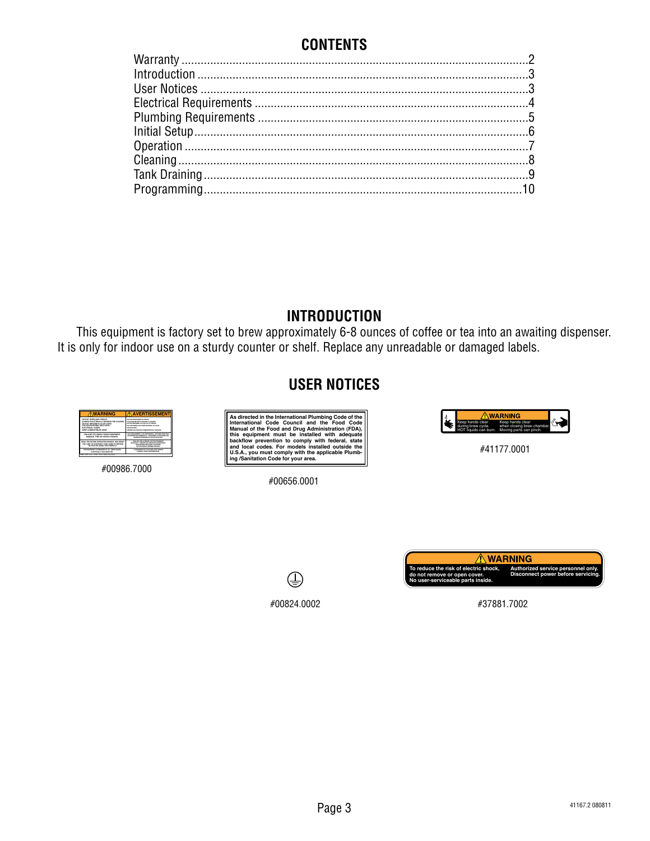## **CONTENTS**

## **INTRODUCTION**

This equipment is factory set to brew approximately 6-8 ounces of coffee or tea into an awaiting dispenser. It is only for indoor use on a sturdy counter or shelf. Replace any unreadable or damaged labels.

## **USER NOTICES**



#00986.7000



#00656.0001



#41177.0001





#37881.7002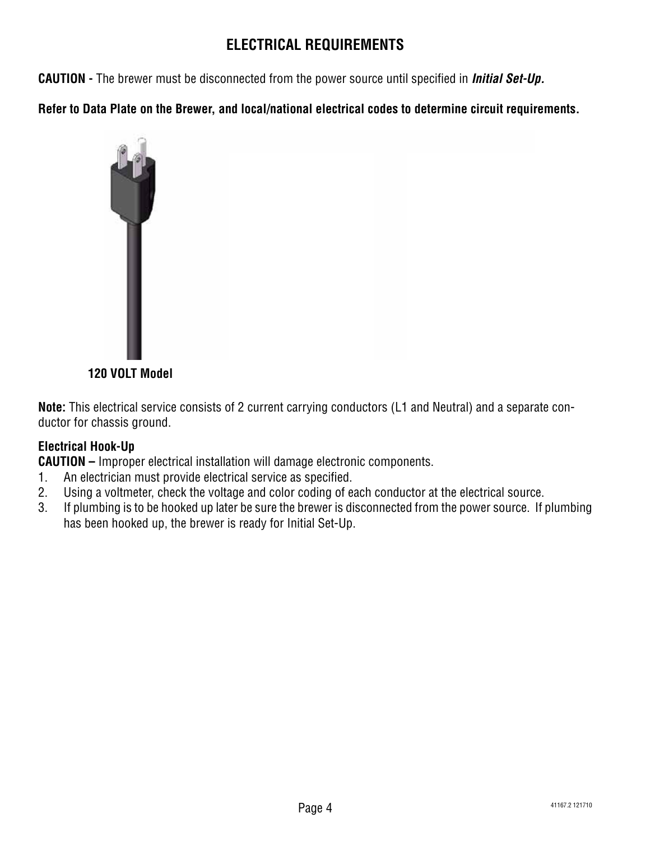## **ELECTRICAL REQUIREMENTS**

**CAUTION -** The brewer must be disconnected from the power source until specified in *Initial Set-Up.*

**Refer to Data Plate on the Brewer, and local/national electrical codes to determine circuit requirements.**



**120 VOLT Model**

**Note:** This electrical service consists of 2 current carrying conductors (L1 and Neutral) and a separate conductor for chassis ground.

### **Electrical Hook-Up**

**CAUTION –** Improper electrical installation will damage electronic components.

- 1. An electrician must provide electrical service as specified.
- 2. Using a voltmeter, check the voltage and color coding of each conductor at the electrical source.
- 3. If plumbing is to be hooked up later be sure the brewer is disconnected from the power source. If plumbing has been hooked up, the brewer is ready for Initial Set-Up.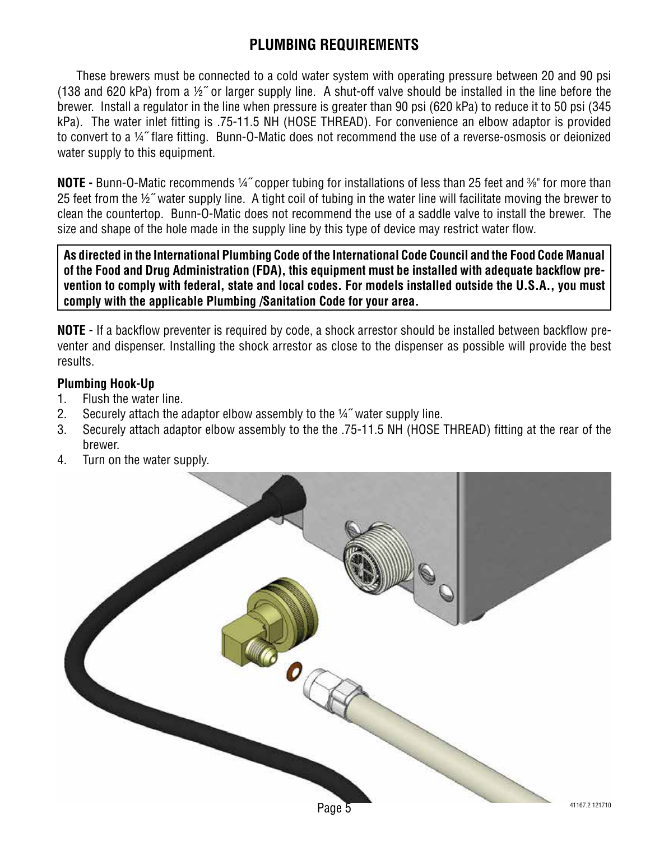## **PLUMBING REQUIREMENTS**

These brewers must be connected to a cold water system with operating pressure between 20 and 90 psi (138 and 620 kPa) from a ½˝ or larger supply line. A shut-off valve should be installed in the line before the brewer. Install a regulator in the line when pressure is greater than 90 psi (620 kPa) to reduce it to 50 psi (345 kPa). The water inlet fitting is .75-11.5 NH (HOSE THREAD). For convenience an elbow adaptor is provided to convert to a ¼˝ flare fitting. Bunn-O-Matic does not recommend the use of a reverse-osmosis or deionized water supply to this equipment.

**NOTE -** Bunn-O-Matic recommends ¼" copper tubing for installations of less than 25 feet and %" for more than 25 feet from the ½˝ water supply line. A tight coil of tubing in the water line will facilitate moving the brewer to clean the countertop. Bunn-O-Matic does not recommend the use of a saddle valve to install the brewer. The size and shape of the hole made in the supply line by this type of device may restrict water flow.

**As directed in the International Plumbing Code of the International Code Council and the Food Code Manual of the Food and Drug Administration (FDA), this equipment must be installed with adequate backflow prevention to comply with federal, state and local codes. For models installed outside the U.S.A., you must comply with the applicable Plumbing /Sanitation Code for your area.**

**NOTE** - If a backflow preventer is required by code, a shock arrestor should be installed between backflow preventer and dispenser. Installing the shock arrestor as close to the dispenser as possible will provide the best results.

#### **Plumbing Hook-Up**

- 1. Flush the water line.
- 2. Securely attach the adaptor elbow assembly to the ¼" water supply line.
- 3. Securely attach adaptor elbow assembly to the the .75-11.5 NH (HOSE THREAD) fitting at the rear of the brewer.
- 4. Turn on the water supply.

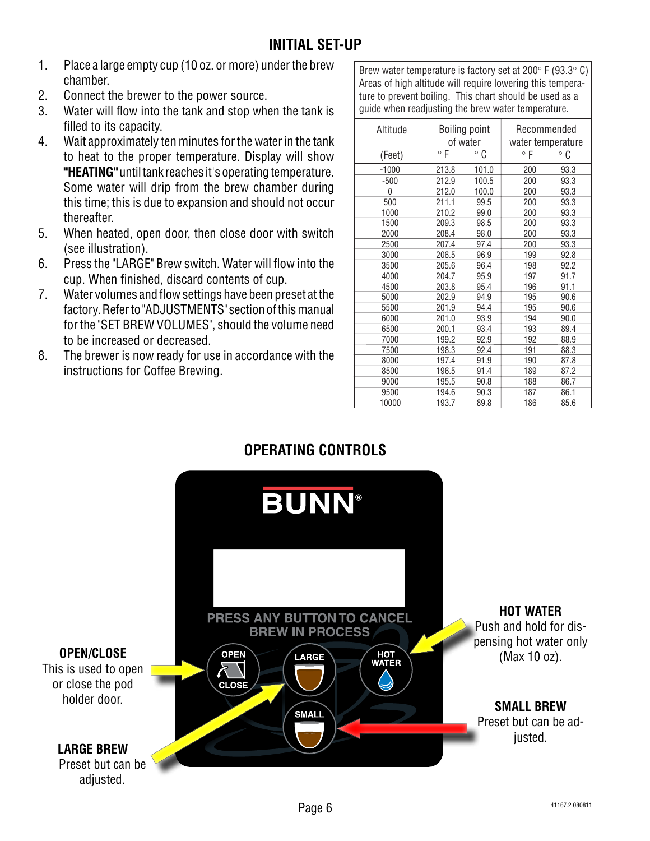- 1. Place a large empty cup (10 oz. or more) under the brew chamber.
- 2. Connect the brewer to the power source.
- 3. Water will flow into the tank and stop when the tank is filled to its capacity.
- 4. Wait approximately ten minutes for the water in the tank to heat to the proper temperature. Display will show **"HEATING"** until tank reaches it's operating temperature. Some water will drip from the brew chamber during this time; this is due to expansion and should not occur thereafter.
- 5. When heated, open door, then close door with switch (see illustration).
- 6. Press the "LARGE" Brew switch. Water will flow into the cup. When finished, discard contents of cup.
- 7. Water volumes and flow settings have been preset at the factory. Refer to "ADJUSTMENTS" section of this manual for the "SET BREW VOLUMES", should the volume need to be increased or decreased.
- 8. The brewer is now ready for use in accordance with the instructions for Coffee Brewing.

Brew water temperature is factory set at 200° F (93.3° C) Areas of high altitude will require lowering this temperature to prevent boiling. This chart should be used as a guide when readjusting the brew water temperature.

| Altitude | <b>Boiling point</b><br>of water |       | Recommended<br>water temperature |              |
|----------|----------------------------------|-------|----------------------------------|--------------|
| (Feet)   | $^{\circ}$ F                     | 。C    | ۰F                               | $^{\circ}$ C |
| $-1000$  | 213.8                            | 101.0 | 200                              | 93.3         |
| $-500$   | 212.9                            | 100.5 | 200                              | 93.3         |
| 0        | 212.0                            | 100.0 | 200                              | 93.3         |
| 500      | 211.1                            | 99.5  | 200                              | 93.3         |
| 1000     | 210.2                            | 99.0  | 200                              | 93.3         |
| 1500     | 209.3                            | 98.5  | 200                              | 93.3         |
| 2000     | 208.4                            | 98.0  | 200                              | 93.3         |
| 2500     | 207.4                            | 97.4  | 200                              | 93.3         |
| 3000     | 206.5                            | 96.9  | 199                              | 92.8         |
| 3500     | 205.6                            | 96.4  | 198                              | 92.2         |
| 4000     | 204.7                            | 95.9  | 197                              | 91.7         |
| 4500     | 203.8                            | 95.4  | 196                              | 91.1         |
| 5000     | 202.9                            | 94.9  | 195                              | 90.6         |
| 5500     | 201.9                            | 94.4  | 195                              | 90.6         |
| 6000     | 201.0                            | 93.9  | 194                              | 90.0         |
| 6500     | 200.1                            | 93.4  | 193                              | 89.4         |
| 7000     | 199.2                            | 92.9  | 192                              | 88.9         |
| 7500     | 198.3                            | 92.4  | 191                              | 88.3         |
| 8000     | 197.4                            | 91.9  | 190                              | 87.8         |
| 8500     | 196.5                            | 91.4  | 189                              | 87.2         |
| 9000     | 195.5                            | 90.8  | 188                              | 86.7         |
| 9500     | 194.6                            | 90.3  | 187                              | 86.1         |
| 10000    | 193.7                            | 89.8  | 186                              | 85.6         |

## **OPERATING CONTROLS**

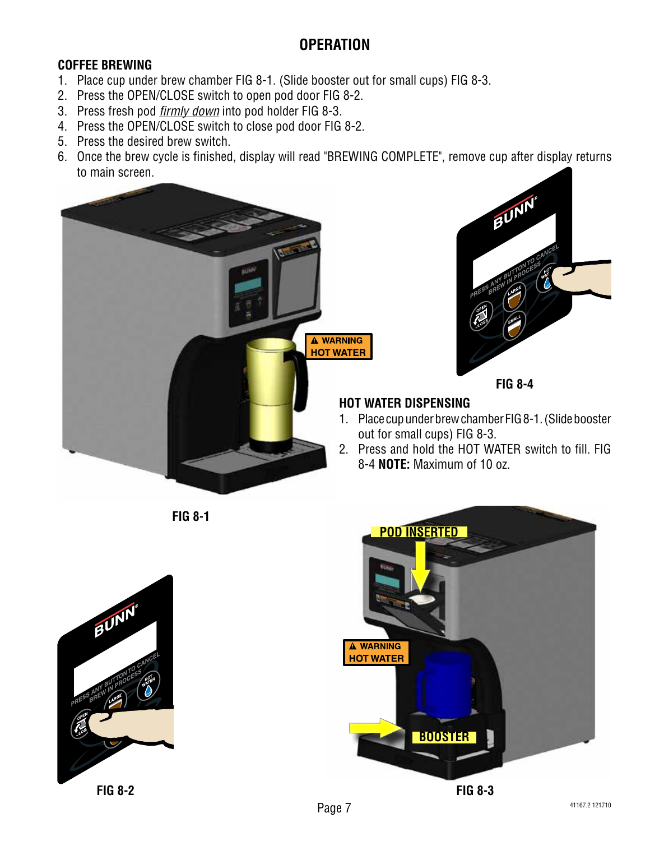## **OPERATION**

#### **COFFEE BREWING**

- 1. Place cup under brew chamber FIG 8-1. (Slide booster out for small cups) FIG 8-3.
- 2. Press the OPEN/CLOSE switch to open pod door FIG 8-2.
- 3. Press fresh pod *firmly down* into pod holder FIG 8-3.
- 4. Press the OPEN/CLOSE switch to close pod door FIG 8-2.
- 5. Press the desired brew switch.
- 6. Once the brew cycle is finished, display will read "BREWING COMPLETE", remove cup after display returns to main screen.





#### **FIG 8-4**

#### **HOT WATER DISPENSING**

- 1. Place cup under brew chamber FIG 8-1. (Slide booster out for small cups) FIG 8-3.
- 2. Press and hold the HOT WATER switch to fill. FIG 8-4 **NOTE:** Maximum of 10 oz.





**POD INSERTED A WARNING HOT WATER BOOSTER FIG 8-3**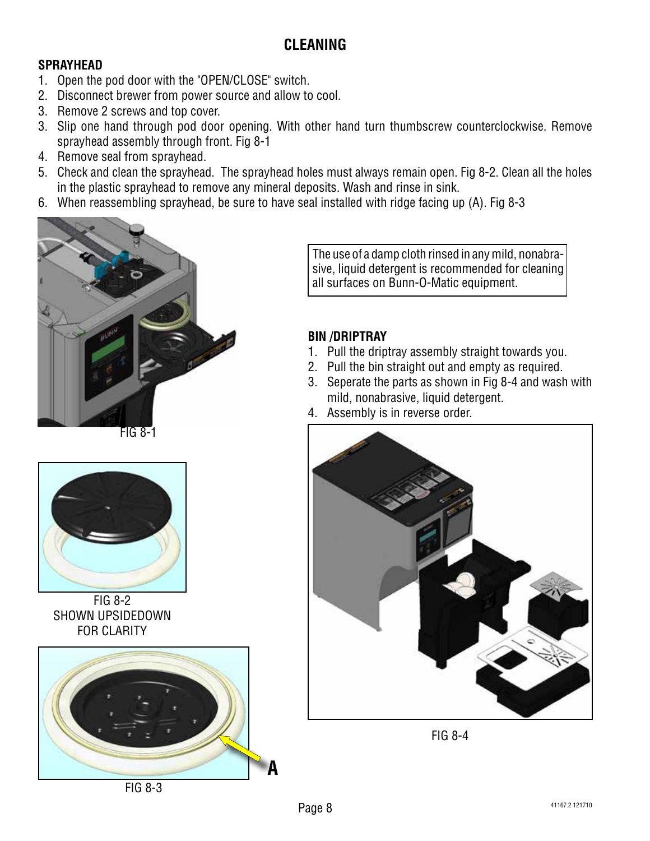## **CLEANING**

#### **SPRAYHEAD**

- 1. Open the pod door with the "OPEN/CLOSE" switch.
- 2. Disconnect brewer from power source and allow to cool.
- 3. Remove 2 screws and top cover.
- 3. Slip one hand through pod door opening. With other hand turn thumbscrew counterclockwise. Remove sprayhead assembly through front. Fig 8-1
- 4. Remove seal from sprayhead.
- 5. Check and clean the sprayhead. The sprayhead holes must always remain open. Fig 8-2. Clean all the holes in the plastic sprayhead to remove any mineral deposits. Wash and rinse in sink.
- 6. When reassembling sprayhead, be sure to have seal installed with ridge facing up (A). Fig 8-3



FIG 8-1



FIG 8-2 SHOWN UPSIDEDOWN FOR CLARITY



FIG 8-3

The use of a damp cloth rinsed in any mild, nonabrasive, liquid detergent is recommended for cleaning all surfaces on Bunn-O-Matic equipment.

#### **BIN /DRIPTRAY**

- 1. Pull the driptray assembly straight towards you.
- 2. Pull the bin straight out and empty as required.
- 3. Seperate the parts as shown in Fig 8-4 and wash with mild, nonabrasive, liquid detergent.
- 4. Assembly is in reverse order.



FIG 8-4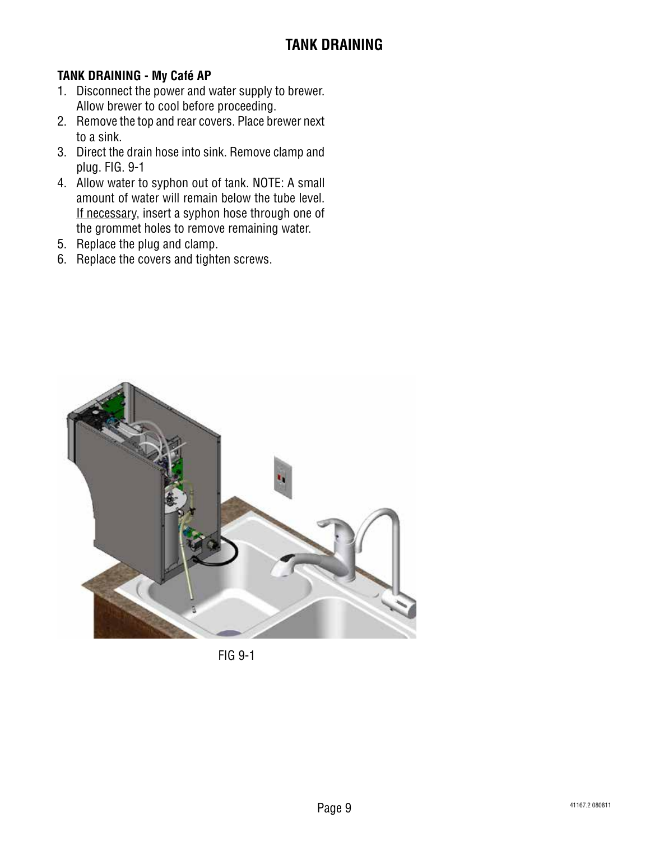#### **TANK DRAINING - My Café AP**

- 1. Disconnect the power and water supply to brewer. Allow brewer to cool before proceeding.
- 2. Remove the top and rear covers. Place brewer next to a sink.
- 3. Direct the drain hose into sink. Remove clamp and plug. FIG. 9-1
- 4. Allow water to syphon out of tank. NOTE: A small amount of water will remain below the tube level. If necessary, insert a syphon hose through one of the grommet holes to remove remaining water.
- 5. Replace the plug and clamp.
- 6. Replace the covers and tighten screws.



FIG 9-1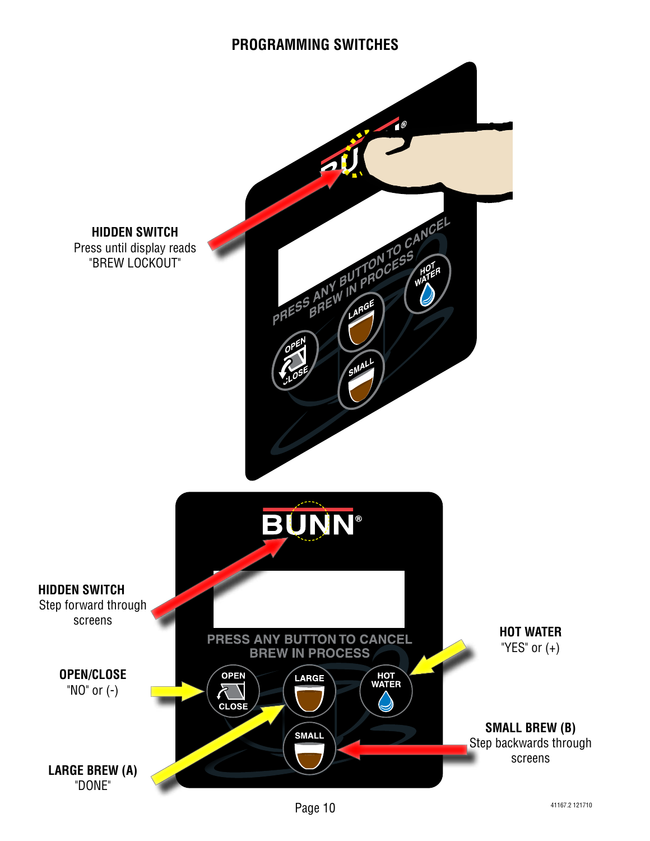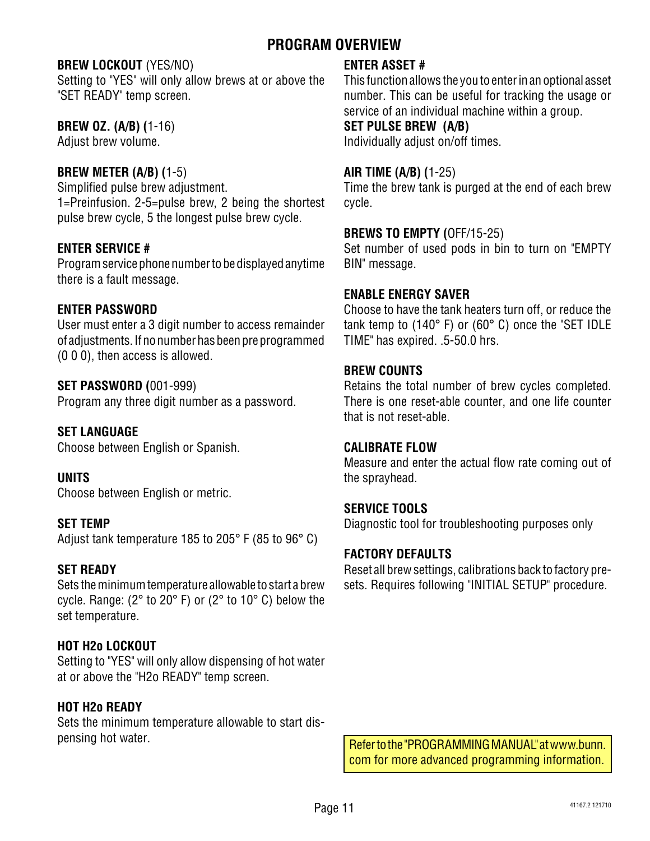## **PROGRAM OVERVIEW**

#### **BREW LOCKOUT** (YES/NO)

Setting to "YES" will only allow brews at or above the "SET READY" temp screen.

#### **BREW OZ. (A/B) (**1-16)

Adjust brew volume.

#### **BREW METER (A/B) (**1-5)

Simplified pulse brew adjustment. 1=Preinfusion. 2-5=pulse brew, 2 being the shortest pulse brew cycle, 5 the longest pulse brew cycle.

#### **ENTER SERVICE #**

Program service phone number to be displayed anytime there is a fault message.

#### **ENTER PASSWORD**

User must enter a 3 digit number to access remainder of adjustments. If no number has been pre programmed (0 0 0), then access is allowed.

#### **SET PASSWORD (**001-999)

Program any three digit number as a password.

#### **SET LANGUAGE**

Choose between English or Spanish.

#### **UNITS**

Choose between English or metric.

#### **SET TEMP**

Adjust tank temperature 185 to 205° F (85 to 96° C)

#### **SET READY**

Sets the minimum temperature allowable to start a brew cycle. Range: (2° to 20° F) or (2° to 10° C) below the set temperature.

#### **HOT H2o LOCKOUT**

Setting to "YES" will only allow dispensing of hot water at or above the "H2o READY" temp screen.

#### **HOT H2o READY**

Sets the minimum temperature allowable to start dispensing hot water.

#### **ENTER ASSET #**

This function allows the you to enter in an optional asset number. This can be useful for tracking the usage or service of an individual machine within a group.

#### **SET PULSE BREW (A/B)**

Individually adjust on/off times.

#### **AIR TIME (A/B) (**1-25)

Time the brew tank is purged at the end of each brew cycle.

#### **BREWS TO EMPTY (**OFF/15-25)

Set number of used pods in bin to turn on "EMPTY BIN" message.

#### **ENABLE ENERGY SAVER**

Choose to have the tank heaters turn off, or reduce the tank temp to (140° F) or (60° C) once the "SET IDLE TIME" has expired. .5-50.0 hrs.

#### **BREW COUNTS**

Retains the total number of brew cycles completed. There is one reset-able counter, and one life counter that is not reset-able.

#### **CALIBRATE FLOW**

Measure and enter the actual flow rate coming out of the sprayhead.

#### **SERVICE TOOLS**

Diagnostic tool for troubleshooting purposes only

#### **FACTORY DEFAULTS**

Reset all brew settings, calibrations back to factory presets. Requires following "INITIAL SETUP" procedure.

Refer to the "PROGRAMMING MANUAL" at www.bunn. com for more advanced programming information.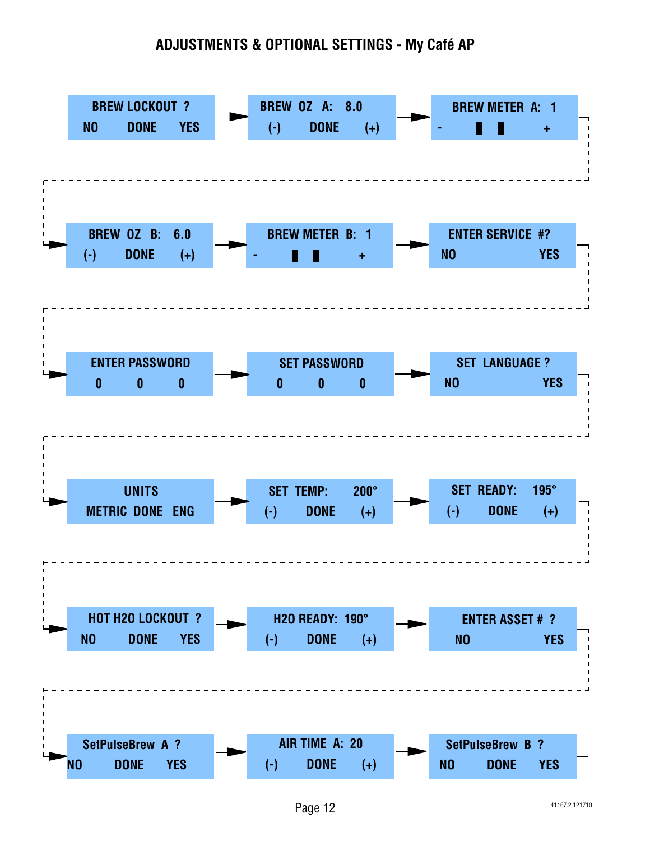## **ADJUSTMENTS & OPTIONAL SETTINGS - My Café AP**